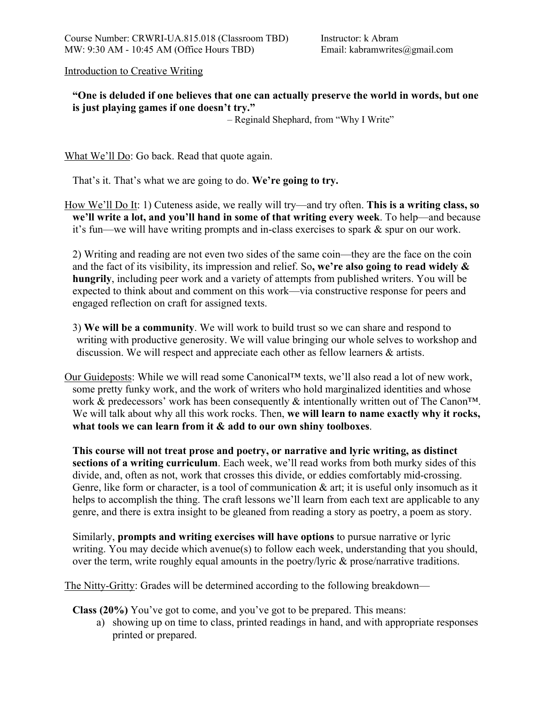Introduction to Creative Writing

# **"One is deluded if one believes that one can actually preserve the world in words, but one is just playing games if one doesn't try."**

– Reginald Shephard, from "Why I Write"

What We'll Do: Go back. Read that quote again.

That's it. That's what we are going to do. **We're going to try.** 

How We'll Do It: 1) Cuteness aside, we really will try—and try often. **This is a writing class, so we'll write a lot, and you'll hand in some of that writing every week**. To help—and because it's fun—we will have writing prompts and in-class exercises to spark & spur on our work.

2) Writing and reading are not even two sides of the same coin—they are the face on the coin and the fact of its visibility, its impression and relief. So**, we're also going to read widely & hungrily**, including peer work and a variety of attempts from published writers. You will be expected to think about and comment on this work—via constructive response for peers and engaged reflection on craft for assigned texts.

3) **We will be a community**. We will work to build trust so we can share and respond to writing with productive generosity. We will value bringing our whole selves to workshop and discussion. We will respect and appreciate each other as fellow learners & artists.

Our Guideposts: While we will read some Canonical™ texts, we'll also read a lot of new work, some pretty funky work, and the work of writers who hold marginalized identities and whose work & predecessors' work has been consequently & intentionally written out of The Canon<sup>TM</sup>. We will talk about why all this work rocks. Then, **we will learn to name exactly why it rocks, what tools we can learn from it & add to our own shiny toolboxes**.

**This course will not treat prose and poetry, or narrative and lyric writing, as distinct sections of a writing curriculum**. Each week, we'll read works from both murky sides of this divide, and, often as not, work that crosses this divide, or eddies comfortably mid-crossing. Genre, like form or character, is a tool of communication  $\&$  art; it is useful only insomuch as it helps to accomplish the thing. The craft lessons we'll learn from each text are applicable to any genre, and there is extra insight to be gleaned from reading a story as poetry, a poem as story.

Similarly, **prompts and writing exercises will have options** to pursue narrative or lyric writing. You may decide which avenue(s) to follow each week, understanding that you should, over the term, write roughly equal amounts in the poetry/lyric & prose/narrative traditions.

The Nitty-Gritty: Grades will be determined according to the following breakdown—

**Class (20%)** You've got to come, and you've got to be prepared. This means:

a) showing up on time to class, printed readings in hand, and with appropriate responses printed or prepared.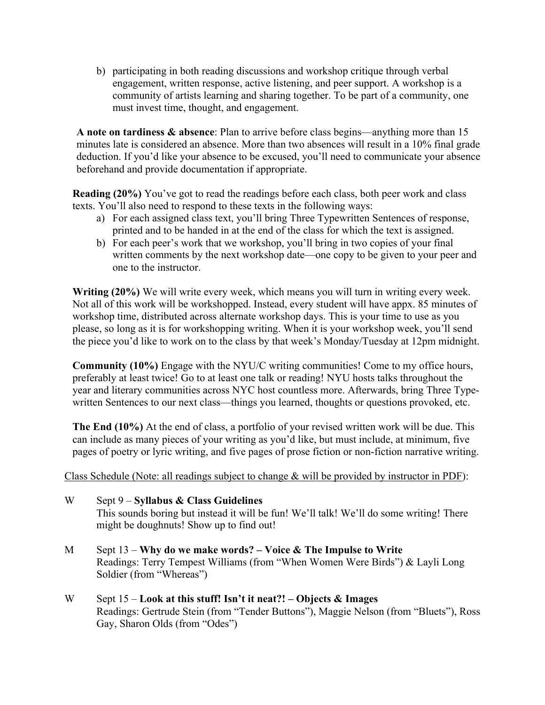b) participating in both reading discussions and workshop critique through verbal engagement, written response, active listening, and peer support. A workshop is a community of artists learning and sharing together. To be part of a community, one must invest time, thought, and engagement.

**A note on tardiness & absence**: Plan to arrive before class begins—anything more than 15 minutes late is considered an absence. More than two absences will result in a 10% final grade deduction. If you'd like your absence to be excused, you'll need to communicate your absence beforehand and provide documentation if appropriate.

**Reading (20%)** You've got to read the readings before each class, both peer work and class texts. You'll also need to respond to these texts in the following ways:

- a) For each assigned class text, you'll bring Three Typewritten Sentences of response, printed and to be handed in at the end of the class for which the text is assigned.
- b) For each peer's work that we workshop, you'll bring in two copies of your final written comments by the next workshop date—one copy to be given to your peer and one to the instructor.

**Writing (20%)** We will write every week, which means you will turn in writing every week. Not all of this work will be workshopped. Instead, every student will have appx. 85 minutes of workshop time, distributed across alternate workshop days. This is your time to use as you please, so long as it is for workshopping writing. When it is your workshop week, you'll send the piece you'd like to work on to the class by that week's Monday/Tuesday at 12pm midnight.

**Community (10%)** Engage with the NYU/C writing communities! Come to my office hours, preferably at least twice! Go to at least one talk or reading! NYU hosts talks throughout the year and literary communities across NYC host countless more. Afterwards, bring Three Typewritten Sentences to our next class—things you learned, thoughts or questions provoked, etc.

**The End (10%)** At the end of class, a portfolio of your revised written work will be due. This can include as many pieces of your writing as you'd like, but must include, at minimum, five pages of poetry or lyric writing, and five pages of prose fiction or non-fiction narrative writing.

Class Schedule (Note: all readings subject to change & will be provided by instructor in PDF):

- W Sept 9 **Syllabus & Class Guidelines** This sounds boring but instead it will be fun! We'll talk! We'll do some writing! There might be doughnuts! Show up to find out!
- M Sept 13 **Why do we make words? – Voice & The Impulse to Write** Readings: Terry Tempest Williams (from "When Women Were Birds") & Layli Long Soldier (from "Whereas")
- W Sept 15 **Look at this stuff! Isn't it neat?! – Objects & Images** Readings: Gertrude Stein (from "Tender Buttons"), Maggie Nelson (from "Bluets"), Ross Gay, Sharon Olds (from "Odes")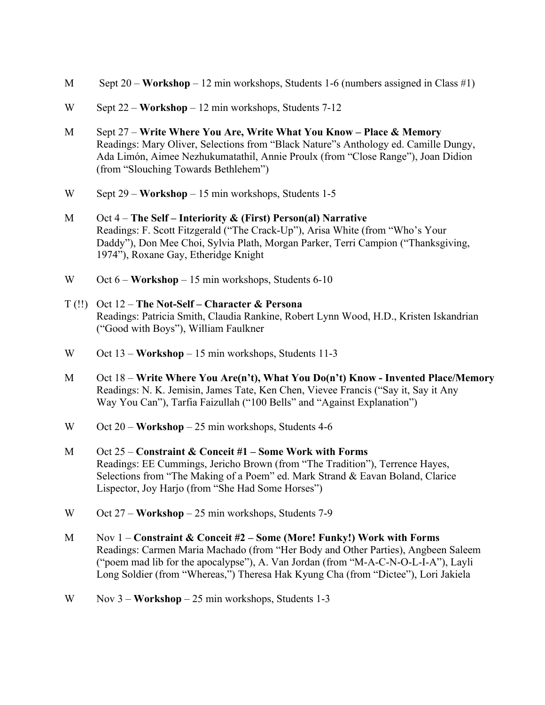- M Sept 20 **Workshop** 12 min workshops, Students 1-6 (numbers assigned in Class #1)
- W Sept 22 **Workshop** 12 min workshops, Students 7-12
- M Sept 27 **Write Where You Are, Write What You Know – Place & Memory** Readings: Mary Oliver, Selections from "Black Nature"s Anthology ed. Camille Dungy, Ada Limón, Aimee Nezhukumatathil, Annie Proulx (from "Close Range"), Joan Didion (from "Slouching Towards Bethlehem")
- W Sept 29 **Workshop** 15 min workshops, Students 1-5
- M Oct 4 **The Self – Interiority & (First) Person(al) Narrative** Readings: F. Scott Fitzgerald ("The Crack-Up"), Arisa White (from "Who's Your Daddy"), Don Mee Choi, Sylvia Plath, Morgan Parker, Terri Campion ("Thanksgiving, 1974"), Roxane Gay, Etheridge Knight
- W Oct  $6 -$ **Workshop** 15 min workshops, Students 6-10
- T (!!) Oct 12 **The Not-Self – Character & Persona** Readings: Patricia Smith, Claudia Rankine, Robert Lynn Wood, H.D., Kristen Iskandrian ("Good with Boys"), William Faulkner
- W Oct 13 **Workshop** 15 min workshops, Students 11-3
- M Oct 18 **Write Where You Are(n't), What You Do(n't) Know - Invented Place/Memory** Readings: N. K. Jemisin, James Tate, Ken Chen, Vievee Francis ("Say it, Say it Any Way You Can"), Tarfia Faizullah ("100 Bells" and "Against Explanation")
- W Oct 20 **Workshop** 25 min workshops, Students 4-6
- M Oct 25 **Constraint & Conceit #1 – Some Work with Forms** Readings: EE Cummings, Jericho Brown (from "The Tradition"), Terrence Hayes, Selections from "The Making of a Poem" ed. Mark Strand & Eavan Boland, Clarice Lispector, Joy Harjo (from "She Had Some Horses")
- W Oct 27 **Workshop** 25 min workshops, Students 7-9
- M Nov 1 **Constraint & Conceit #2 – Some (More! Funky!) Work with Forms** Readings: Carmen Maria Machado (from "Her Body and Other Parties), Angbeen Saleem ("poem mad lib for the apocalypse"), A. Van Jordan (from "M-A-C-N-O-L-I-A"), Layli Long Soldier (from "Whereas,") Theresa Hak Kyung Cha (from "Dictee"), Lori Jakiela
- W Nov 3 **Workshop** 25 min workshops, Students 1-3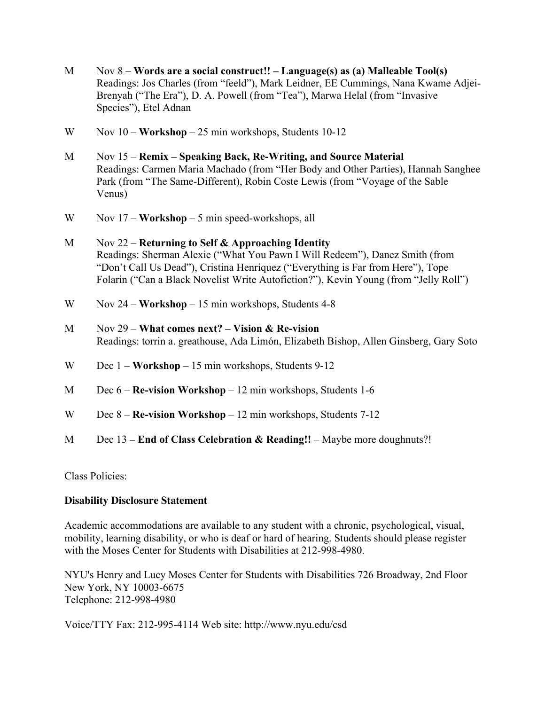- M Nov 8 **Words are a social construct!! – Language(s) as (a) Malleable Tool(s)** Readings: Jos Charles (from "feeld"), Mark Leidner, EE Cummings, Nana Kwame Adjei-Brenyah ("The Era"), D. A. Powell (from "Tea"), Marwa Helal (from "Invasive Species"), Etel Adnan
- W Nov 10 **Workshop** 25 min workshops, Students 10-12
- M Nov 15 **Remix – Speaking Back, Re-Writing, and Source Material** Readings: Carmen Maria Machado (from "Her Body and Other Parties), Hannah Sanghee Park (from "The Same-Different), Robin Coste Lewis (from "Voyage of the Sable Venus)
- W Nov 17 **Workshop** 5 min speed-workshops, all
- M Nov 22 **Returning to Self & Approaching Identity** Readings: Sherman Alexie ("What You Pawn I Will Redeem"), Danez Smith (from "Don't Call Us Dead"), Cristina Henríquez ("Everything is Far from Here"), Tope Folarin ("Can a Black Novelist Write Autofiction?"), Kevin Young (from "Jelly Roll")
- W Nov 24 **Workshop** 15 min workshops, Students 4-8
- M Nov 29 **What comes next? – Vision & Re-vision** Readings: torrin a. greathouse, Ada Limón, Elizabeth Bishop, Allen Ginsberg, Gary Soto
- W Dec 1 **Workshop** 15 min workshops, Students 9-12
- M Dec 6 **Re-vision Workshop** 12 min workshops, Students 1-6
- W Dec 8 **Re-vision Workshop** 12 min workshops, Students 7-12
- M Dec 13 **– End of Class Celebration & Reading!!** Maybe more doughnuts?!

### Class Policies:

### **Disability Disclosure Statement**

Academic accommodations are available to any student with a chronic, psychological, visual, mobility, learning disability, or who is deaf or hard of hearing. Students should please register with the Moses Center for Students with Disabilities at 212-998-4980.

NYU's Henry and Lucy Moses Center for Students with Disabilities 726 Broadway, 2nd Floor New York, NY 10003-6675 Telephone: 212-998-4980

Voice/TTY Fax: 212-995-4114 Web site: http://www.nyu.edu/csd